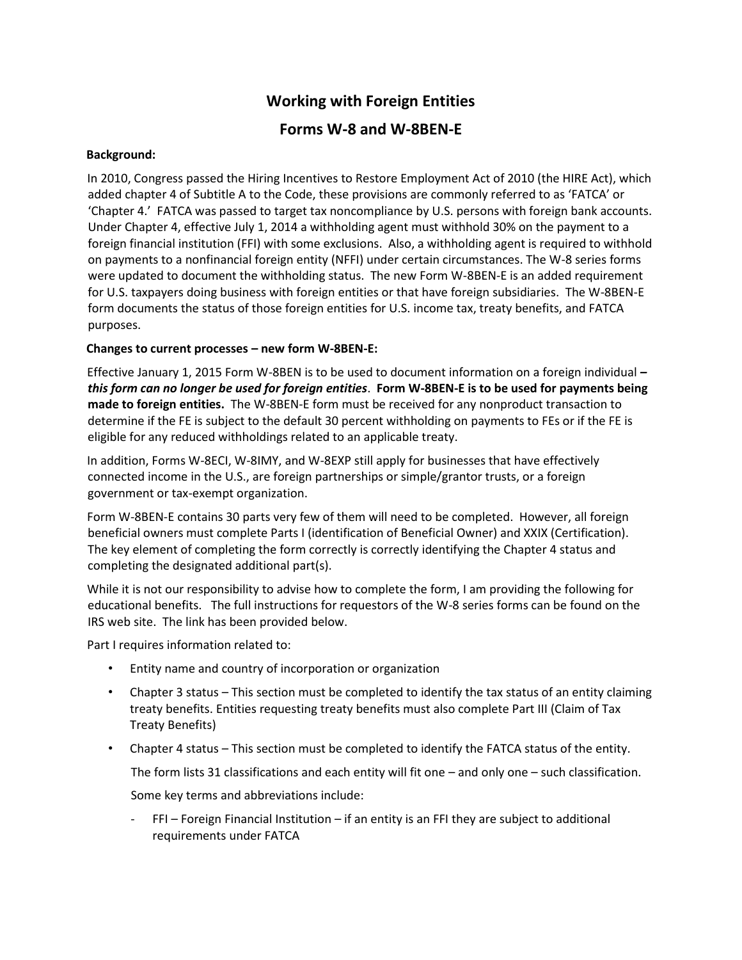## **Working with Foreign Entities**

## **Forms W-8 and W-8BEN-E**

## **Background:**

In 2010, Congress passed the Hiring Incentives to Restore Employment Act of 2010 (the HIRE Act), which added chapter 4 of Subtitle A to the Code, these provisions are commonly referred to as 'FATCA' or 'Chapter 4.' FATCA was passed to target tax noncompliance by U.S. persons with foreign bank accounts. Under Chapter 4, effective July 1, 2014 a withholding agent must withhold 30% on the payment to a foreign financial institution (FFI) with some exclusions. Also, a withholding agent is required to withhold on payments to a nonfinancial foreign entity (NFFI) under certain circumstances. The W-8 series forms were updated to document the withholding status. The new Form W-8BEN-E is an added requirement for U.S. taxpayers doing business with foreign entities or that have foreign subsidiaries. The W-8BEN-E form documents the status of those foreign entities for U.S. income tax, treaty benefits, and FATCA purposes.

## **Changes to current processes – new form W-8BEN-E:**

Effective January 1, 2015 Form W-8BEN is to be used to document information on a foreign individual *– this form can no longer be used for foreign entities*. **Form W-8BEN-E is to be used for payments being made to foreign entities.** The W-8BEN-E form must be received for any nonproduct transaction to determine if the FE is subject to the default 30 percent withholding on payments to FEs or if the FE is eligible for any reduced withholdings related to an applicable treaty.

In addition, Forms W-8ECI, W-8IMY, and W-8EXP still apply for businesses that have effectively connected income in the U.S., are foreign partnerships or simple/grantor trusts, or a foreign government or tax-exempt organization.

Form W-8BEN-E contains 30 parts very few of them will need to be completed. However, all foreign beneficial owners must complete Parts I (identification of Beneficial Owner) and XXIX (Certification). The key element of completing the form correctly is correctly identifying the Chapter 4 status and completing the designated additional part(s).

While it is not our responsibility to advise how to complete the form, I am providing the following for educational benefits. The full instructions for requestors of the W-8 series forms can be found on the IRS web site. The link has been provided below.

Part I requires information related to:

- Entity name and country of incorporation or organization
- Chapter 3 status This section must be completed to identify the tax status of an entity claiming treaty benefits. Entities requesting treaty benefits must also complete Part III (Claim of Tax Treaty Benefits)
- Chapter 4 status This section must be completed to identify the FATCA status of the entity.

The form lists 31 classifications and each entity will fit one – and only one – such classification.

Some key terms and abbreviations include:

- FFI – Foreign Financial Institution – if an entity is an FFI they are subject to additional requirements under FATCA